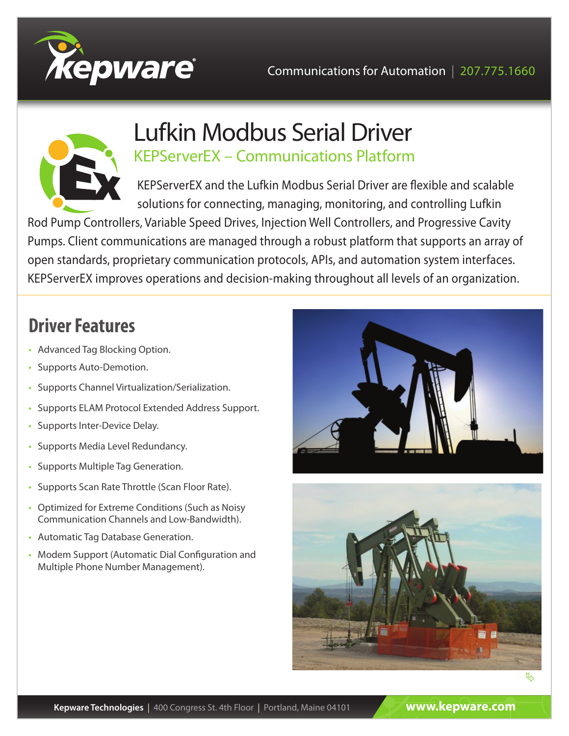



## Lufkin Modbus Serial Driver KEPServerEX – Communications Platform

KEPServerEX and the Lufkin Modbus Serial Driver are flexible and scalable solutions for connecting, managing, monitoring, and controlling Lufkin

Rod Pump Controllers, Variable Speed Drives, Injection Well Controllers, and Progressive Cavity Pumps. Client communications are managed through a robust platform that supports an array of open standards, proprietary communication protocols, APIs, and automation system interfaces. KEPServerEX improves operations and decision-making throughout all levels of an organization.

## **Driver Features**

- Advanced Tag Blocking Option.
- Supports Auto-Demotion.
- Supports Channel Virtualization/Serialization.
- Supports ELAM Protocol Extended Address Support.
- Supports Inter-Device Delay.
- Supports Media Level Redundancy.
- Supports Multiple Tag Generation.
- Supports Scan Rate Throttle (Scan Floor Rate).
- Optimized for Extreme Conditions (Such as Noisy Communication Channels and Low-Bandwidth).
- Automatic Tag Database Generation.
- Modem Support (Automatic Dial Configuration and Multiple Phone Number Management).